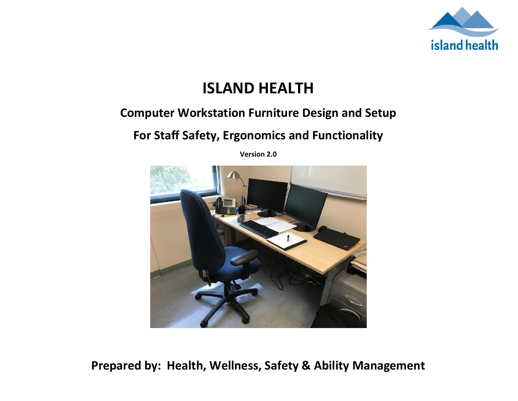

# **ISLAND HEALTH**

### **Computer Workstation Furniture Design and Setup**

## **For Staff Safety, Ergonomics and Functionality**

**Version 2.0**



**Prepared by: Health, Wellness, Safety & Ability Management**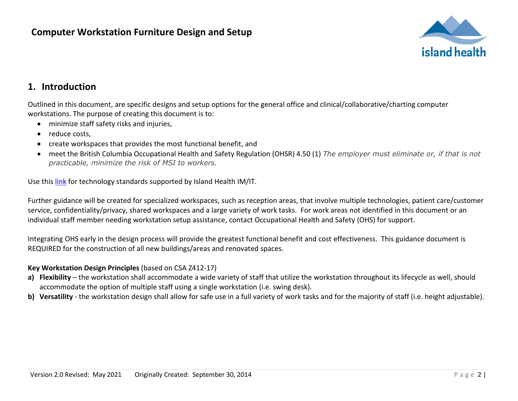#### **Computer Workstation Furniture Design and Setup**



### **1. Introduction**

Outlined in this document, are specific designs and setup options for the general office and clinical/collaborative/charting computer workstations. The purpose of creating this document is to:

- minimize staff safety risks and injuries,
- reduce costs.
- create workspaces that provides the most functional benefit, and
- meet the British Columbia Occupational Health and Safety Regulation (OHSR) 4.50 (1) *The employer must eliminate or, if that is not practicable, minimize the risk of MSI to workers.*

Use this [link](https://intranet.viha.ca/departments/imit/Pages/standards_guidelines.aspx) for technology standards supported by Island Health IM/IT.

Further guidance will be created for specialized workspaces, such as reception areas, that involve multiple technologies, patient care/customer service, confidentiality/privacy, shared workspaces and a large variety of work tasks. For work areas not identified in this document or an individual staff member needing workstation setup assistance, contact Occupational Health and Safety (OHS) for support.

Integrating OHS early in the design process will provide the greatest functional benefit and cost effectiveness. This guidance document is REQUIRED for the construction of all new buildings/areas and renovated spaces.

#### **Key Workstation Design Principles** (based on CSA Z412-17)

- a) Flexibility the workstation shall accommodate a wide variety of staff that utilize the workstation throughout its lifecycle as well, should accommodate the option of multiple staff using a single workstation (i.e. swing desk).
- **b) Versatility** the workstation design shall allow for safe use in a full variety of work tasks and for the majority of staff (i.e. height adjustable).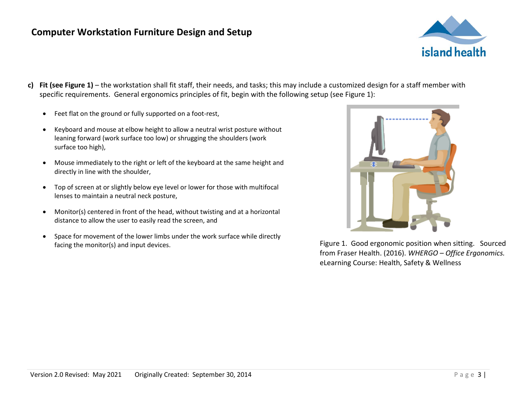#### **Computer Workstation Furniture Design and Setup**



- **c) Fit (see Figure 1)** the workstation shall fit staff, their needs, and tasks; this may include a customized design for a staff member with specific requirements. General ergonomics principles of fit, begin with the following setup (see Figure 1):
	- Feet flat on the ground or fully supported on a foot-rest,
	- Keyboard and mouse at elbow height to allow a neutral wrist posture without leaning forward (work surface too low) or shrugging the shoulders (work surface too high),
	- Mouse immediately to the right or left of the keyboard at the same height and directly in line with the shoulder,
	- Top of screen at or slightly below eye level or lower for those with multifocal lenses to maintain a neutral neck posture,
	- Monitor(s) centered in front of the head, without twisting and at a horizontal distance to allow the user to easily read the screen, and
	- Space for movement of the lower limbs under the work surface while directly facing the monitor(s) and input devices. The monitor of the monitor of the monitor(s) and input devices.



from Fraser Health. (2016). *WHERGO – Office Ergonomics.*  eLearning Course: Health, Safety & Wellness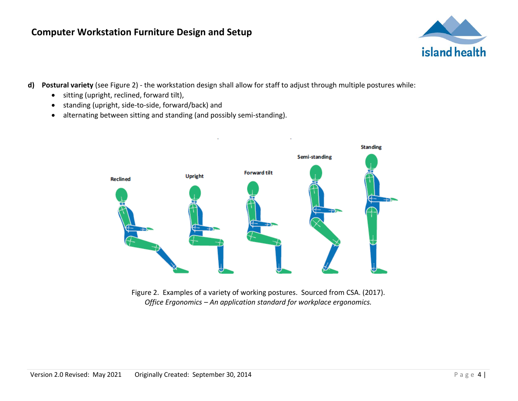#### **Computer Workstation Furniture Design and Setup**



- **d) Postural variety** (see Figure 2) the workstation design shall allow for staff to adjust through multiple postures while:
	- sitting (upright, reclined, forward tilt),
	- standing (upright, side-to-side, forward/back) and
	- alternating between sitting and standing (and possibly semi-standing).



Figure 2. Examples of a variety of working postures. Sourced from CSA. (2017). *Office Ergonomics – An application standard for workplace ergonomics.*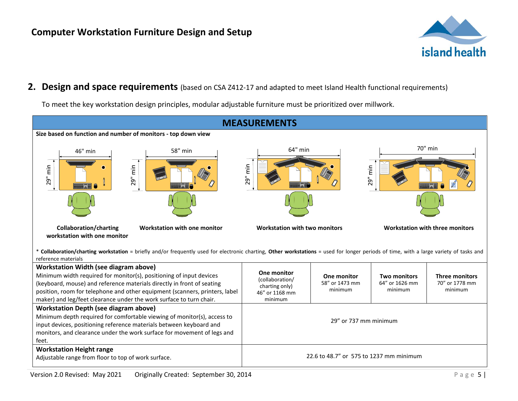

#### **2. Design and space requirements** (based on CSA Z412-17 and adapted to meet Island Health functional requirements)

To meet the key workstation design principles, modular adjustable furniture must be prioritized over millwork.



Adjustable range from floor to top of work surface. 22.6 to 48.7" or 575 to 1237 mm minimum

input devices, positioning reference materials between keyboard and monitors, and clearance under the work surface for movement of legs and

feet.

**Workstation Height range**

29" or 737 mm minimum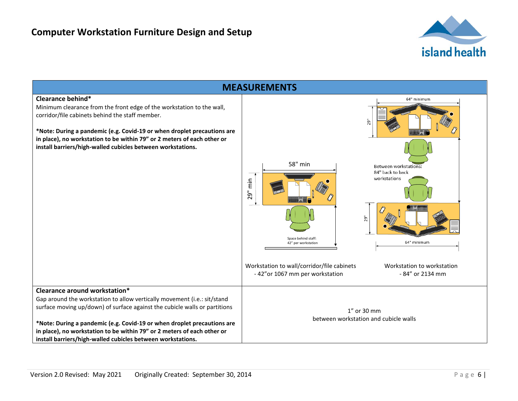

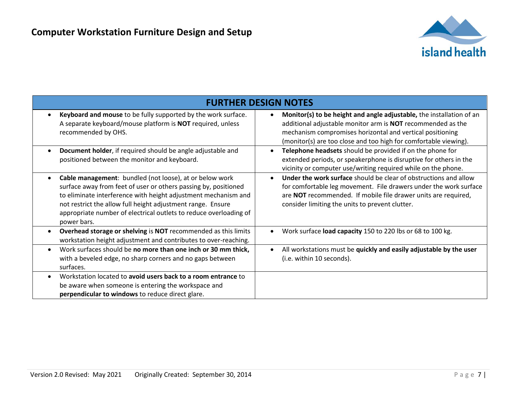

| <b>FURTHER DESIGN NOTES</b>                                                                                                                                                                                                                                                                                                                                  |                                                                                                                                                                                                                                                                                          |
|--------------------------------------------------------------------------------------------------------------------------------------------------------------------------------------------------------------------------------------------------------------------------------------------------------------------------------------------------------------|------------------------------------------------------------------------------------------------------------------------------------------------------------------------------------------------------------------------------------------------------------------------------------------|
| Keyboard and mouse to be fully supported by the work surface.<br>$\bullet$<br>A separate keyboard/mouse platform is NOT required, unless<br>recommended by OHS.                                                                                                                                                                                              | Monitor(s) to be height and angle adjustable, the installation of an<br>$\bullet$<br>additional adjustable monitor arm is <b>NOT</b> recommended as the<br>mechanism compromises horizontal and vertical positioning<br>(monitor(s) are too close and too high for comfortable viewing). |
| Document holder, if required should be angle adjustable and<br>$\bullet$<br>positioned between the monitor and keyboard.                                                                                                                                                                                                                                     | Telephone headsets should be provided if on the phone for<br>extended periods, or speakerphone is disruptive for others in the<br>vicinity or computer use/writing required while on the phone.                                                                                          |
| Cable management: bundled (not loose), at or below work<br>$\bullet$<br>surface away from feet of user or others passing by, positioned<br>to eliminate interference with height adjustment mechanism and<br>not restrict the allow full height adjustment range. Ensure<br>appropriate number of electrical outlets to reduce overloading of<br>power bars. | Under the work surface should be clear of obstructions and allow<br>for comfortable leg movement. File drawers under the work surface<br>are NOT recommended. If mobile file drawer units are required,<br>consider limiting the units to prevent clutter.                               |
| Overhead storage or shelving is NOT recommended as this limits<br>$\bullet$<br>workstation height adjustment and contributes to over-reaching.                                                                                                                                                                                                               | Work surface load capacity 150 to 220 lbs or 68 to 100 kg.                                                                                                                                                                                                                               |
| Work surfaces should be no more than one inch or 30 mm thick,<br>$\bullet$<br>with a beveled edge, no sharp corners and no gaps between<br>surfaces.                                                                                                                                                                                                         | All workstations must be quickly and easily adjustable by the user<br>$\bullet$<br>(i.e. within 10 seconds).                                                                                                                                                                             |
| Workstation located to avoid users back to a room entrance to<br>$\bullet$<br>be aware when someone is entering the workspace and<br>perpendicular to windows to reduce direct glare.                                                                                                                                                                        |                                                                                                                                                                                                                                                                                          |